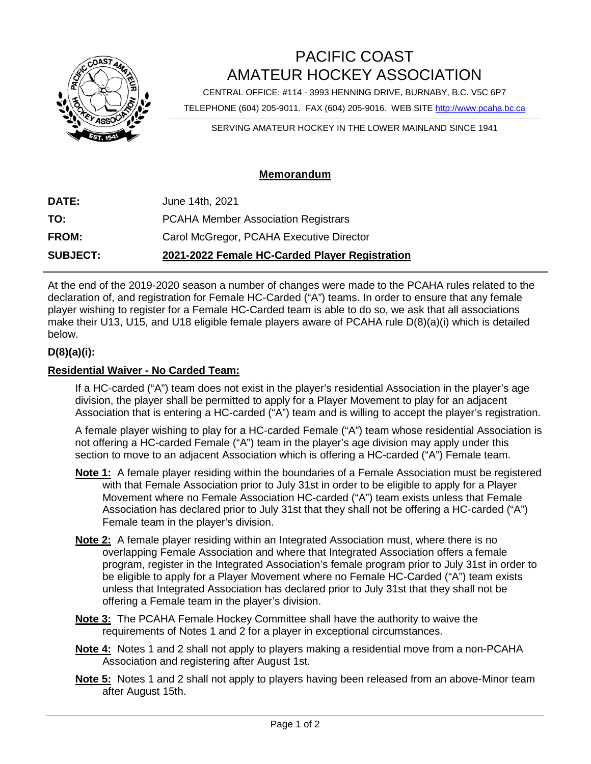

## PACIFIC COAST AMATEUR HOCKEY ASSOCIATION

CENTRAL OFFICE: #114 - 3993 HENNING DRIVE, BURNABY, B.C. V5C 6P7

TELEPHONE (604) 205-9011. FAX (604) 205-9016. WEB SITE [http://www.pcaha.bc.ca](http://www.pcaha.bc.ca/)

SERVING AMATEUR HOCKEY IN THE LOWER MAINLAND SINCE 1941

## **Memorandum**

| <b>SUBJECT:</b> | 2021-2022 Female HC-Carded Player Registration |
|-----------------|------------------------------------------------|
| <b>FROM:</b>    | Carol McGregor, PCAHA Executive Director       |
| TO:             | <b>PCAHA Member Association Registrars</b>     |
| <b>DATE:</b>    | June 14th, 2021                                |

At the end of the 2019-2020 season a number of changes were made to the PCAHA rules related to the declaration of, and registration for Female HC-Carded ("A") teams. In order to ensure that any female player wishing to register for a Female HC-Carded team is able to do so, we ask that all associations make their U13, U15, and U18 eligible female players aware of PCAHA rule D(8)(a)(i) which is detailed below.

## **D(8)(a)(i):**

## **Residential Waiver - No Carded Team:**

If a HC-carded ("A") team does not exist in the player's residential Association in the player's age division, the player shall be permitted to apply for a Player Movement to play for an adjacent Association that is entering a HC-carded ("A") team and is willing to accept the player's registration.

A female player wishing to play for a HC-carded Female ("A") team whose residential Association is not offering a HC-carded Female ("A") team in the player's age division may apply under this section to move to an adjacent Association which is offering a HC-carded ("A") Female team.

- **Note 1:** A female player residing within the boundaries of a Female Association must be registered with that Female Association prior to July 31st in order to be eligible to apply for a Player Movement where no Female Association HC-carded ("A") team exists unless that Female Association has declared prior to July 31st that they shall not be offering a HC-carded ("A") Female team in the player's division.
- **Note 2:** A female player residing within an Integrated Association must, where there is no overlapping Female Association and where that Integrated Association offers a female program, register in the Integrated Association's female program prior to July 31st in order to be eligible to apply for a Player Movement where no Female HC-Carded ("A") team exists unless that Integrated Association has declared prior to July 31st that they shall not be offering a Female team in the player's division.
- **Note 3:** The PCAHA Female Hockey Committee shall have the authority to waive the requirements of Notes 1 and 2 for a player in exceptional circumstances.
- **Note 4:** Notes 1 and 2 shall not apply to players making a residential move from a non-PCAHA Association and registering after August 1st.
- **Note 5:** Notes 1 and 2 shall not apply to players having been released from an above-Minor team after August 15th.